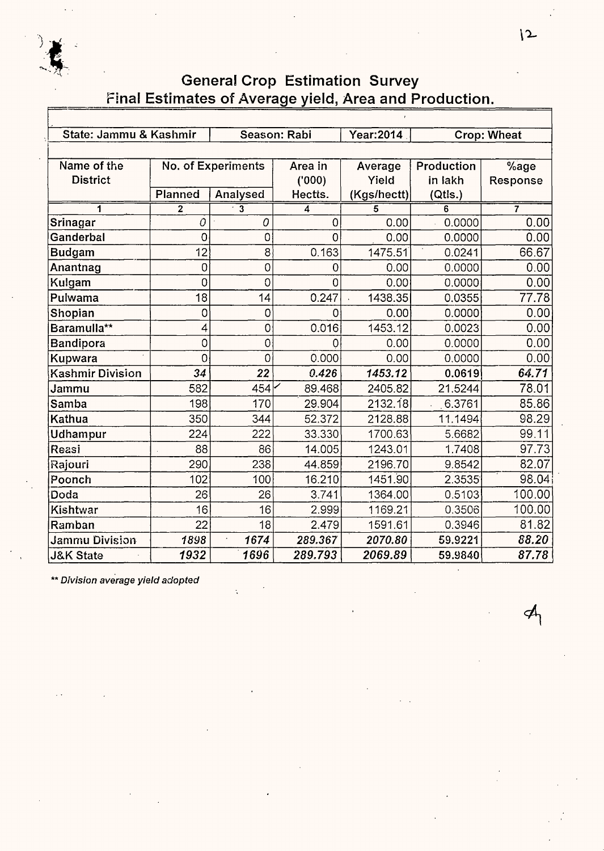

| State: Jammu & Kashmir  |             |                             | Season: Rabi   | Year: 2014  |                   | <b>Crop: Wheat</b> |  |  |  |
|-------------------------|-------------|-----------------------------|----------------|-------------|-------------------|--------------------|--|--|--|
|                         |             |                             |                |             |                   |                    |  |  |  |
| Name of the             |             | No. of Experiments          | Area in        | Average     | Production        | %age               |  |  |  |
| <b>District</b>         |             |                             | (000)          | Yield       | in lakh           | Response           |  |  |  |
|                         | Planned     | Analysed                    | Hectts.        | (Kgs/hectt) | (Qtls.)           |                    |  |  |  |
| 1                       | $\mathbf 2$ | $\overline{\mathbf{3}}$     | 4              | 5           | 6                 | $\overline{7}$     |  |  |  |
| Srinagar                | 0           | 0                           | 0              | 0.00        | 0.0000            | 0.00               |  |  |  |
| Ganderbal               | 0           | $\overline{O}$              | $\overline{0}$ | 0.00        | 0.0000            | 0.00               |  |  |  |
| <b>Budgam</b>           | 12          | 8                           | 0.163          | 1475.51     | $\cdot$<br>0.0241 | 66.67              |  |  |  |
| Anantnag                | 0           | $\overline{O}$              | $\overline{0}$ | 0.00        | 0.0000            | 0.00               |  |  |  |
| Kulgam                  | 0           | 0                           | 0              | 0.00        | 0.0000            | 0.00               |  |  |  |
| Pulwama                 | 18          | 14                          | 0.247          | 1438.35     | 0.0355            | 77.78              |  |  |  |
| Shopian                 | 0           | 0                           | 0              | 0.00        | 0.0000            | 0.00               |  |  |  |
| Baramulla**             | 4           | $\mathsf O$                 | 0.016          | 1453.12     | 0.0023            | 0.00               |  |  |  |
| Bandipora               | 0           | $\mathsf O$                 | 0              | 0.00        | 0.0000            | 0.00               |  |  |  |
| Kupwara                 | 0           | $\overline{0}$              | 0.000          | 0.00        | 0.0000            | 0.00               |  |  |  |
| <b>Kashmir Division</b> | 34          | 22                          | 0.426          | 1453.12     | 0.0619            | 64.71              |  |  |  |
| Jammu                   | 582         | 454                         | 89.468         | 2405.82     | 21.5244           | 78.01              |  |  |  |
| Samba                   | 198         | 170                         | 29.904         | 2132.18     | 6.3761            | 85.86              |  |  |  |
| Kathua                  | 350         | 344                         | 52.372         | 2128.88     | 11.1494           | 98.29              |  |  |  |
| Udhampur                | 224         | 222                         | 33.330         | 1700.63     | 5.6682            | 99.11              |  |  |  |
| Reasi                   | 88          | 86                          | 14.005         | 1243.01     | 1.7408            | 97.73              |  |  |  |
| Rajouri                 | 290         | 238                         | 44.859         | 2196.70     | 9.8542            | 82.07              |  |  |  |
| Poonch                  | 102         | 100                         | 16.210         | 1451.90     | 2.3535            | 98.04              |  |  |  |
| Doda                    | 26          | 26                          | 3.741          | 1364.00     | 0.5103            | 100.00             |  |  |  |
| Kishtwar                | 16          | 16                          | 2.999          | 1169.21     | 0.3506            | 100.00             |  |  |  |
| Ramban                  | 22          | 18                          | 2.479          | 1591.61     | 0.3946            | 81.82              |  |  |  |
| <b>Jammu Division</b>   | 1898        | 1674<br>$\bar{\phantom{a}}$ | 289.367        | 2070.80     | 59.9221           | 88.20              |  |  |  |
| <b>J&amp;K State</b>    | 1932        | 1696                        | 289.793        | 2069.89     | 59.9840           | 87.78              |  |  |  |

\*\* Division average yield adopted

 $\mathcal{A}_{\mathsf{h}}$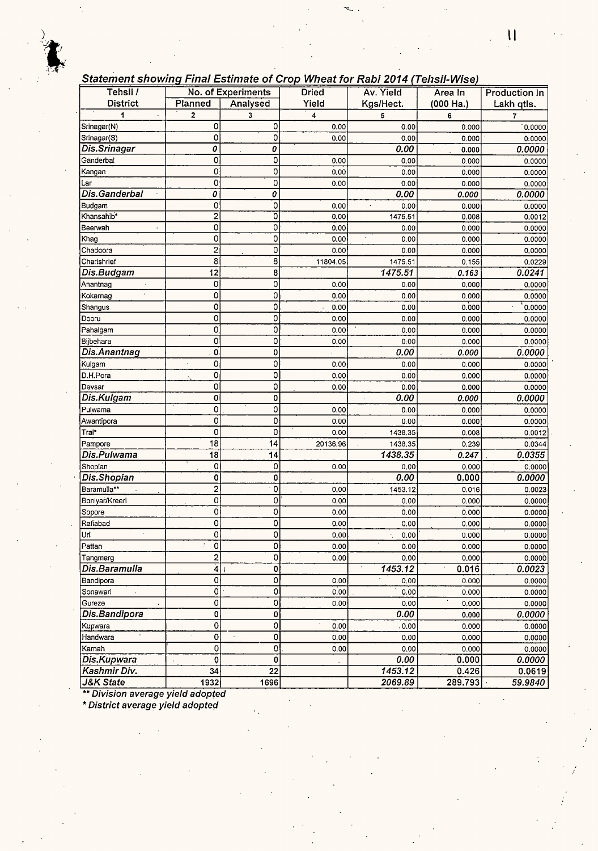### **Statement showinq Final Estimate of Crop Wheat for Rabi 2014 (Tehsil-Wise)**

| Tehsil /                       |                         | No. of Experiments        | <b>Dried</b> | Av. Yield | Area In   | <b>Production In</b> |
|--------------------------------|-------------------------|---------------------------|--------------|-----------|-----------|----------------------|
| <b>District</b>                | Planned                 | Analysed                  | Yield        | Kgs/Hect. | (000 Ha.) | Lakh qtls.           |
| 1                              | 2                       | 3                         | 4            | 5         | 6         | 7                    |
| Srinagar(N)                    | 0                       | 0                         | 0.00         | 0.00      | 0.000     | 0,0000               |
| Srinagar(S)                    | 0                       | 0                         | 0.00         | 0.00      | 0.000     | 0:0000               |
| Dis.Srinagar                   | 0                       | 0                         |              | 0.00      | 0.000     | 0.0000               |
| Ganderbal                      | 0                       | 0                         | 0.00         | 0.00      | 0.000     | 0.0000               |
| Kangan                         | 0                       | 0                         | 0,00         | 0.00      | 0.000     | 0.0000               |
| Lar                            | 0                       | 0                         | 0.00         | 0.00      | 0.000     | 0.0000               |
| Dis.Ganderbal                  | 0                       | 0                         |              | 0.00      | 0.000     | 0.0000               |
| Budgam                         | 0                       | 0                         | 0.00         | 0.00      | 0.000     | 0.0000               |
| Khansahib*                     | 2                       | ō                         | 0.00         | 1475.51   | 0.008     | 0.0012               |
| Beerwah                        | O                       | 0                         | 0.00         | 0.00      | 0.000     | 0.0000               |
| Khag                           | 0                       | 0                         | 0.00         | 0.00      | 0.000     | 0.0000               |
| Chadoora                       | $\overline{c}$          | 0                         | 0.00         | 0.00      | 0.000     | 0.0000               |
| Charishrief                    | 8                       | 8                         | 11804.05     | 1475.51   | 0.155     | 0.0229               |
| Dis.Budgam                     | 12                      | 8                         |              | 1475.51   | 0.163     | 0.0241               |
| Anantnag                       | 0                       | 0                         | 0.00         | 0.00      | 0.000     | 0.0000               |
| Kokarnag                       | 0                       | 0                         | 0.00         | 0.00      | 0.000     | 0.0000               |
| Shangus                        | 0                       | 0                         | 0.00         | 0.00      | 0.000     | $\cdot$<br>0.0000    |
| Dooru                          | 0                       | 0                         | 0.00         | 0.00      | 0.000     | 0.0000               |
| Pahalgam                       | 0                       | 0                         | 0.00         | 0.00      | 0.000     | 0.0000               |
| Bijbehara                      | 0                       | 0                         | 0.00         | 0:00      | 0.000     | 0.0000               |
| Dis.Anantnag                   | 0                       | 0                         |              | 0.00      | 0.000     | 0.0000               |
| Kulgam                         | 0                       | 0                         | 0.00         | 0.00      | 0.000     | 0.0000               |
| D.H.Pora                       | 0                       | 0                         | 0.00         | 0.00      | 0.000     | 0.0000               |
| Devsar                         | 0                       | 0                         | 0.00         | 0.00      | 0.000     | 0.0000               |
| Dis.Kulgam                     | 0                       | 0                         |              | 0.00      | 0.000     | 0.0000               |
| Pulwama                        | 0                       | 0                         | 0.00         | 0.00      | 0.000     | 0.0000               |
| Awantipora                     | 0                       | 0                         | 0.00         | 0.00      | 0.000     | 0.0000               |
| Tral*                          | 0                       | 0                         | 0.00         | 1438.35   | 0.008     | 0.0012               |
| Pampore                        | 18                      | 14                        | 20136.96     | 1438.35   | 0.239     | 0.0344               |
| Dis.Pulwama                    | 18                      | 14                        |              | 1438.35   | 0.247     | 0.0355               |
| Shopian                        | 0                       | 0                         | 0.00         | 0,00      | 0.000     | 0.0000               |
| Dis.Shopian                    | 0                       | 0                         |              | 0.00      | 0.000     | 0.0000               |
| Baramulla**                    | $\overline{\mathbf{c}}$ | Ò                         | 0.00         | 1453.12   | 0.016     | 0.0023               |
| Boniyar/Kreeri                 | 0                       | 0                         | 0.00         | 0.00      | 0.000     | 0.0000               |
| Sopore                         | 0                       | 0                         | 0.00         | 0.00      | 0.000     | 0.0000               |
| Rafiabad                       | 0                       | 0                         | 0.00         | 0.00      | 0.000     | 0.0000               |
| Uri                            | 0                       | 0                         | 0.00         | 0.00      | 0.000     | 0.0000               |
| Pattan                         | ċ<br>0                  | 0                         | 0.00         | 0.00      | 0.000     | 0.0000               |
| Tangmarg                       | 2                       | 0                         | 0.00         | 0.00      | 0.000     | 0.0000               |
| Dis.Baramulla                  | 4                       | 0                         |              | 1453.12   | 0.016     | 0.0023               |
| Bandipora                      | 0                       | $\overline{\mathfrak{o}}$ | 0.00         | 0,00      | 0.000     | 0.0000               |
| Sonawari                       | Ö                       | 0                         | 0.00         | 0.00      | 0.000     | 0.0000               |
| Gureze<br>$\bar{z}$<br>$\star$ | 0                       | 0                         | 0.00         | 0.00      | 0.000     | 0.0000               |
| Dis.Bandipora                  | 0                       | 0                         |              | 0.00      | 0.000     | 0.0000               |
| Kupwara                        | 0                       | 0                         | 0.00         | . 0.00    | 0.000     | 0.0000               |
| Handwara                       | $\overline{0}$          | 0                         | 0.00         | 0.00      | 0.000     | 0.0000               |
| Karnah                         | 0                       | 0                         | 0.00         | 0.00      | 0.000     | 0.0000               |
| Dis.Kupwara                    | 0                       | 0                         |              | 0.00      | 0.000     | 0.0000               |
| Kashmir Div.                   | 34                      | 22                        |              | 1453.12   | 0.426     | 0.0619               |
| <b>J&amp;K State</b>           | 1932                    | 1696                      |              | 2069.89   | 289.793   | 59.9840              |

\*\* Division average yield adopted

\* District average yield adopted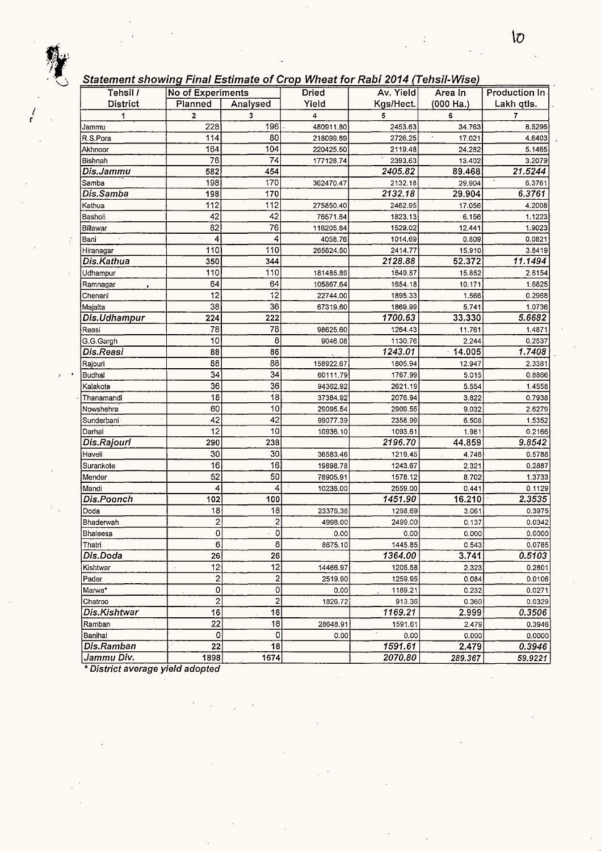*!*  r

#### Statement showing Final Estimate of Crop Wheat for Rabi 2014 (Tehsi/-Wise)

| Statement Showing Pinal LStinlate of Grop Wheat for Kabl 2014 (TenSiPWiSe) |                         |                         |              |           |             |               |
|----------------------------------------------------------------------------|-------------------------|-------------------------|--------------|-----------|-------------|---------------|
| Tehsil /                                                                   | No of Experiments       |                         | <b>Dried</b> | Av. Yield | Area In     | Production In |
| District                                                                   | Planned                 | Analysed                | Yield        | Kgs/Hect. | $(000$ Ha.) | Lakh qtls.    |
| 1                                                                          | 2                       | 3                       | 4            | 5         | 6           | 7             |
| Jammu                                                                      | 228                     | 196                     | 480911.80    | 2453.63   | 34.763      | 8,5296        |
| R.S.Pora                                                                   | 114                     | 80                      | 218099.89    | 2726.25   | 17.021      | 4.6403        |
| Akhnoor                                                                    | 164                     | 104                     | 220425.50    | 2119.48   | 24.282      | 5.1465        |
| Bishnah                                                                    | 76                      | 74                      | 177128.74    | 2393.63   | 13.402      | 3.2079        |
| Dis.Jammu                                                                  | 582                     | 454                     |              | 2405.82   | 89.468      | 21.5244       |
| Samba                                                                      | 198                     | 170                     | 362470.47    | 2132.18   | 29.904      | 6.3761        |
| Dis.Samba                                                                  | 198                     | 170                     |              | 2132.18   | 29.904      | 6.3761        |
| Kathua                                                                     | 112                     | 112                     | 275850.40    | 2462.95   | 17.056      | 4.2008        |
| Basholi                                                                    | 42                      | 42                      | 76571.64     | 1823.13   | 6.156       | 1.1223        |
| Billawar                                                                   | 82                      | 76                      | 116205.84    | 1529.02   | 12.441      | 1.9023        |
| Bani                                                                       | 4                       | 4                       | 4058.76      | 1014.69   | 0.809       | 0.0821        |
| Hiranagar                                                                  | 110                     | 110                     | 265624.50    | 2414.77   | 15.910      | 3.8419        |
| Dis.Kathua                                                                 | 350                     | 344                     |              | 2128.88   | 52.372      | 11.1494       |
| Udhampur                                                                   | 110                     | 110                     | 181485.89    | 1649.87   | 15.852      | 2.6154        |
| Ramnagar                                                                   | 64                      | 64                      | 105867.64    | 1654.18   | 10.171      | 1.6825        |
| Chenani                                                                    | 12                      | 12                      | 22744.00     | 1895.33   | 1,566       | 0.2968        |
| Majalta                                                                    | 38                      | 36                      | 67319.60     | 1869.99   | 5.741       | 1.0736        |
| Dis.Udhampur                                                               | 224                     | 222                     |              | 1700.63   | 33.330      | 5.6682        |
| Reasi                                                                      | 78                      | 78                      | 98625.60     | 1264.43   | 11.761      | 1.4871        |
| G.G.Gargh                                                                  | 10                      | 8                       | 9046.08      | 1130.76   | 2.244       | 0.2537        |
| Dis.Reasi                                                                  | 88                      | 86                      |              | 1243.01   | 14.005      | 1.7408        |
| Rajouri                                                                    | 88                      | 88                      | 158922.67    | 1805.94   | 12.947      | 2.3381        |
| <b>Budhal</b>                                                              | 34                      | 34                      | 60111.79     | 1767.99   | 5.015       | 0.8866        |
| Kalakote                                                                   | 36                      | 36                      | 94362.92     | 2621.19   | 5.554       | 1.4558        |
| Thanamandi                                                                 | 18                      | 18                      | 37384.92     | 2076.94   | 3.822       | 0.7938        |
| Nowshehra                                                                  | 60                      | 10                      | 29095.54     | 2909.55   | 9.032       | 2.6279        |
| Sunderbani                                                                 | 42                      | 42                      | 99077.39     | 2358.99   | 6.508       | 1.5352        |
| Darhal                                                                     | 12                      | 10                      | 10936.10     | 1093.61   | 1.981       | 0.2166        |
| Dis.Rajouri                                                                | 290                     | 238                     |              | 2196.70   | 44.859      | 9.8542        |
| Haveli                                                                     | 30                      | 30                      | 36583.46     | 1219.45   | 4.746       | 0.5788        |
| Surankote                                                                  | 16                      | 16                      | 19898.78     | 1243.67   | 2.321       | 0.2887        |
| Mender                                                                     | 52                      | 50                      | 78905.91     | 1578.12   | 8.702       | 1.3733        |
| Mandi                                                                      | 4                       | 4                       | 10236.00     | 2559.00   | 0.441       | 0.1129        |
| Dis.Poonch                                                                 | 102                     | 100                     |              | 1451.90   | 16.210      | 2.3535        |
| Doda                                                                       | 18                      | 18                      | 23376.36     | 1298.69   | 3.061       | 0.3975        |
| Bhaderwah                                                                  | 2                       | $\overline{2}$          | 4998.00      | 2499.00   | 0.137       | 0.0342        |
| Bhaleesa                                                                   | 0                       | $\mathbf 0$             | 0.00         | 0.00      | 0.000       | 0.0000        |
| Thatri                                                                     | 6                       | 6                       | 8675.10      | 1445.85   | 0.543       | 0.0785        |
| Dis.Doda                                                                   | 26                      | 26                      |              | 1364.00   | 3.741       | 0.5103        |
| Kishtwar                                                                   | 12                      | 12                      | 14466.97     | 1205.58   | 2.323       | 0.2801        |
| Pader                                                                      | 2                       | $\overline{\mathbf{c}}$ | 2519.90      | 1259.95   | 0.084       | 0.0106        |
| Marwa*                                                                     | 0                       | 0                       | 0.00         | 1169.21   | 0.232       | 0.0271        |
| Chatroo                                                                    | $\overline{\mathbf{c}}$ | $\mathbf 2$             | 1826.72      | 913.36    | 0.360       | 0.0329        |
| Dis.Kishtwar                                                               | 16                      | 16                      |              | 1169.21   | 2.999       | 0.3506        |
| Ramban                                                                     | 22                      | 18                      | 28648.91     | 1591.61   | 2.479       | 0.3946        |
| Banihal                                                                    | 0                       | 0                       | 0.00         | 0.00      | 0.000       | 0.0000        |
| Dis.Ramban                                                                 | 22                      | 18                      |              | 1591.61   | 2.479       | 0.3946        |
| Jammu Div.                                                                 | 1898                    | 1674                    |              | 2070.80   | 289.367     | 59.9221       |
|                                                                            |                         |                         |              |           |             |               |

\* **District average yield adopted**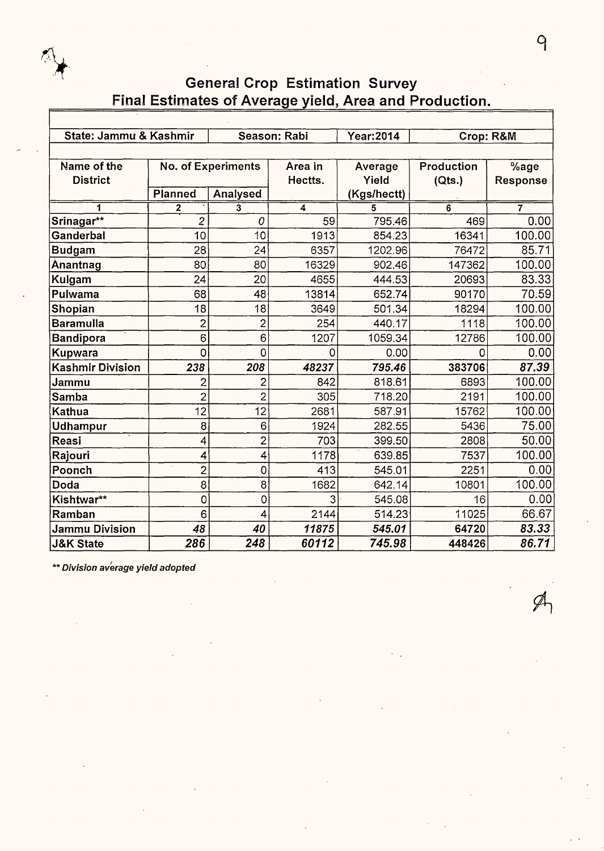

| State: Jammu & Kashmir  |                |                           | Season: Rabi | Year: 2014  | Crop: R&M  |          |  |  |  |  |  |
|-------------------------|----------------|---------------------------|--------------|-------------|------------|----------|--|--|--|--|--|
|                         |                |                           |              |             |            |          |  |  |  |  |  |
| Name of the             |                | <b>No. of Experiments</b> | Area in      | Average     | Production | %age     |  |  |  |  |  |
| <b>District</b>         |                |                           | Hectts.      | Yield       | (Qts.)     | Response |  |  |  |  |  |
|                         | Planned        | Analysed                  |              | (Kgs/hectt) |            |          |  |  |  |  |  |
| 1                       | 2              | 3                         | 4            | 5           | 6          | 7        |  |  |  |  |  |
| Srinagar**              | 2              | 0                         | 59           | 795.46      | 469        | 0.00     |  |  |  |  |  |
| Ganderbal               | 10             | 10                        | 1913         | 854.23      | 16341      | 100.00   |  |  |  |  |  |
| <b>Budgam</b>           | 28             | 24                        | 6357         | 1202.96     | 76472      | 85.71    |  |  |  |  |  |
| Anantnag                | 80             | 80                        | 16329        | 902.46      | 147362     | 100.00   |  |  |  |  |  |
| Kulgam                  | 24             | 20                        | 4655         | 444.53      | 20693      | 83.33    |  |  |  |  |  |
| Pulwama                 | 68             | 48                        | 13814        | 652.74      | 90170      | 70.59    |  |  |  |  |  |
| Shopian                 | 18             | 18                        | 3649         | 501.34      | 18294      | 100.00   |  |  |  |  |  |
| <b>Baramulla</b>        | $\overline{c}$ | $\overline{2}$            | 254          | 440.17      | 1118       | 100.00   |  |  |  |  |  |
| <b>Bandipora</b>        | 6              | 6                         | 1207         | 1059.34     | 12786      | 100.00   |  |  |  |  |  |
| Kupwara                 | 0              | 0                         | 0            | 0.00        | 0          | 0.00     |  |  |  |  |  |
| <b>Kashmir Division</b> | 238            | 208                       | 48237        | 795.46      | 383706     | 87.39    |  |  |  |  |  |
| Jammu                   | $\overline{c}$ | $\overline{c}$            | 842          | 818.61      | 6893       | 100.00   |  |  |  |  |  |
| Samba                   | $\overline{2}$ | $\overline{2}$            | 305          | 718.20      | 2191       | 100.00   |  |  |  |  |  |
| Kathua                  | 12             | 12                        | 2681         | 587.91      | 15762      | 100.00   |  |  |  |  |  |
| <b>Udhampur</b>         | 8              | 6                         | 1924         | 282.55      | 5436       | 75.00    |  |  |  |  |  |
| Reasi                   | 4              | $\overline{2}$            | 703          | 399.50      | 2808       | 50.00    |  |  |  |  |  |
| Rajouri                 | 4              | 4                         | 1178         | 639.85      | 7537       | 100.00   |  |  |  |  |  |
| Poonch                  | $\overline{2}$ | 0                         | 413          | 545.01      | 2251       | 0.00     |  |  |  |  |  |
| Doda                    | 8              | 8                         | 1682         | 642.14      | 10801      | 100.00   |  |  |  |  |  |
| Kishtwar**              | $\circ$        | 0                         | 3            | 545.08      | 16         | 0.00     |  |  |  |  |  |
| Ramban                  | 6              | 4                         | 2144         | 514.23      | 11025      | 66.67    |  |  |  |  |  |
| <b>Jammu Division</b>   | 48             | 40                        | 11875        | 545.01      | 64720      | 83.33    |  |  |  |  |  |
| J&K State               | 286            | 248                       | 60112        | 745.98      | 448426     | 86.71    |  |  |  |  |  |

\*\* **Division average yield adopted**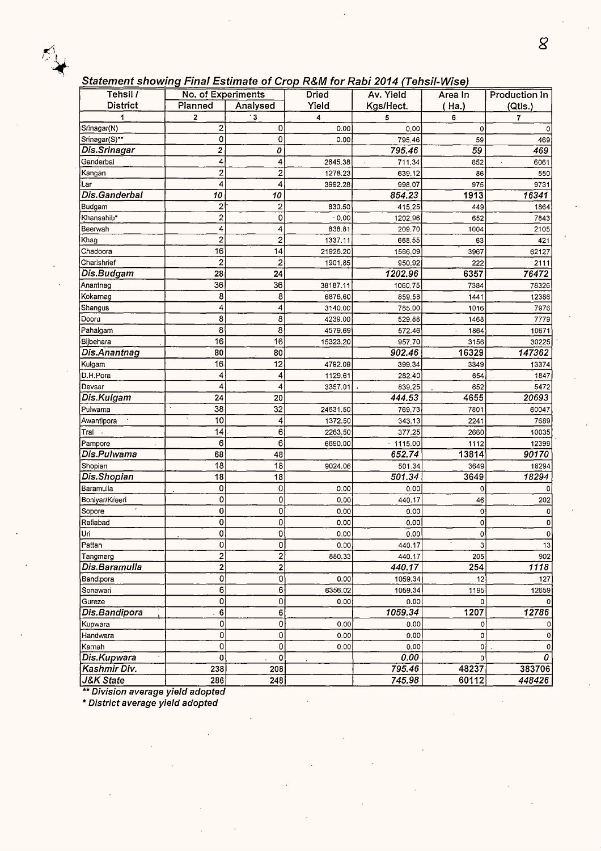#### Statement showing Final Estimate of Crop R&M for Rabi 2014 (Tehsil-Wise)

| Tehsil /             | No. of Experiments      |                         | <b>Dried</b> | Av. Yield  | Area In      | Production In |
|----------------------|-------------------------|-------------------------|--------------|------------|--------------|---------------|
| <b>District</b>      | Planned                 | Analysed                | Yield        | Kgs/Hect.  | ( Ha.)       | (Qtls.)       |
|                      | 2                       | . 3                     | 4            | 5          | 6            | 7             |
| Srinagar(N)          | 2                       | 0                       | 0.00         | 0,00       | 0            |               |
| Srinagar(S)**        | 0                       | 0                       | 0.00         | 795.46     | 59           | 469           |
| Dis.Srinagar         | 2                       | 0                       |              | 795.46     | 59           | 469           |
| Ganderbal            | 4                       | 4                       | 2845.38      | 711.34     | 852          | 6061          |
| Kangan               | $\overline{\mathbf{c}}$ | $\overline{\mathbf{c}}$ | 1278:23      | 639.12     | 86           | 550           |
| Lar                  | 4                       | 4                       | 3992.28      | 998.07     | 975          | 9731          |
| Dis.Ganderbal        | 10                      | 10                      |              | 854.23     | 1913         | 16341         |
| Budgam               | 2                       | 2                       | 830.50       | 415.25     | 449          | 1864          |
| Khansahib*           | $\overline{c}$          | 0                       | $-0.00$      | 1202.96    | 652          | 7843          |
| Beerwah              | 4                       | 4                       | 838.81       | 209.70     | 1004         | 2105          |
| Khag                 | 2                       | $\overline{\mathbf{c}}$ | 1337.11      | 668.55     | 63           | 421           |
| Chadoora             | 16                      | 14                      | 21925.20     | 1566.09    | 3967         | 62127         |
| Charishrief          | $\overline{\mathbf{c}}$ | $\overline{c}$          | 1901.85      | 950.92     | 222          | 2111          |
| Dis.Budgam           | 28                      | 24                      |              | 1202.96    | 6357         | 76472         |
| Anantnag             | 36                      | 36                      | 38187.11     | 1060.75    | 7384         | 78326         |
| Kokarnag             | 8                       | 8                       | 6876.60      | 859,58     | 1441         | 12386         |
| Shangus              | 4                       | 4                       | 3140.00      | 785.00     | 1016         | 7976          |
| Dooru                | 8                       | 8                       | 4239.00      | 529.88     | 1468         | 7779          |
| Pahalgam             | 8                       | 8                       | 4579.69      | 572.46     | 1864         | 10671         |
| Bijbehara            | 16                      | 16                      | 15323.20     | 957.70     | 3156         | 30225         |
| Dis.Anantnag         | 80                      | 80                      |              | 902.46     | 16329        | 147362        |
| Kulgam               | 16                      | 12                      | 4792.09      | 399.34     | 3349         | 13374         |
| D.H.Pora             | 4                       | 4                       | 1129.61      | 282.40     | 654          | 1847          |
| Devsar               | 4                       | 4                       | 3357.01      | 839.25     | 652          | 5472          |
| Dis.Kulgam           | 24                      | 20                      |              | 444.53     | 4655         | 20693         |
| Pulwama              | 38                      | 32                      | 24631.50     | 769.73     | 7801         | 60047         |
| Awantipora           | 10                      | 4                       | 1372.50      | 343.13     | 2241         | 7689          |
| Tral -               | 14                      | 6                       | 2263.50      | 377.25     | 2660         | 10035         |
| Pampore              | 6                       | 6                       | 6690.00      | $-1115.00$ | 1112         | 12399         |
| Dis.Pulwama          | 68                      | 48                      |              | 652.74     | 13814        | 90170         |
| Shopian              | 18                      | 18                      | 9024.06      | 501.34     | 3649         | 18294         |
| Dis.Shopian          | 18                      | 18                      |              | 501.34     | 3649         | 18294         |
| Baramulla            | 0                       | 0                       | 0.00         | 0.00       | 0            |               |
| Boniyar/Kreeri       | 0                       | 0                       | 0.00         | 440.17     | 46           | 202           |
| Sopore               | 0                       | 0                       | 0.00         | 0.00       | 0            |               |
| Rafiabad             | 0                       | 0                       | 0.00         | 0.00       | 0            | 0             |
| Uri                  | $\overline{\mathbf{0}}$ | 0                       | 0.00         | 0.00       | 0            | $\Omega$      |
| Pattan               | Ó                       | 0                       | 0.00         | 440.17     | $\mathbf{3}$ | 13            |
| Tangmarg             | $\overline{\mathbf{c}}$ | $\overline{2}$          | 880.33       | 440.17     | 205          | 902           |
| Dis.Baramulla        | $\overline{\mathbf{c}}$ | 2                       |              | 440.17     | 254          | 1118          |
| Bandipora            | 0                       | $\mathbf{O}$            | 0.00         | 1059.34    | 12           | 127           |
| Sonawari             | 6                       | 6                       | 6356.02      | 1059.34    | 1195         | 12659         |
| Gureze               | 0                       | 0                       | 0.00         | 0.00       | O            |               |
| Dis.Bandipora        | 6                       | 6                       |              | 1059.34    | 1207         | 12786         |
| Kupwara              | 0                       | 0                       | 0.00         | 0.00       | 0            |               |
| Handwara             | 0                       | 0                       | 0.00         | 0.00       | 0            | 0             |
| Karnah               | 0                       | 0                       | 0.00         | 0.00       | 0            |               |
| Dis.Kupwara          | 0                       | 0                       |              | 0.00       | 0            | 0             |
| Kashmir Div.         | 238                     | 208                     |              | 795.46     | 48237        | 383706        |
| <b>J&amp;K State</b> | 286                     | 248                     |              | 745.98     | 60112        | 448426        |

\*\* **Division average yield adopted** 

\* **District average yield adopted**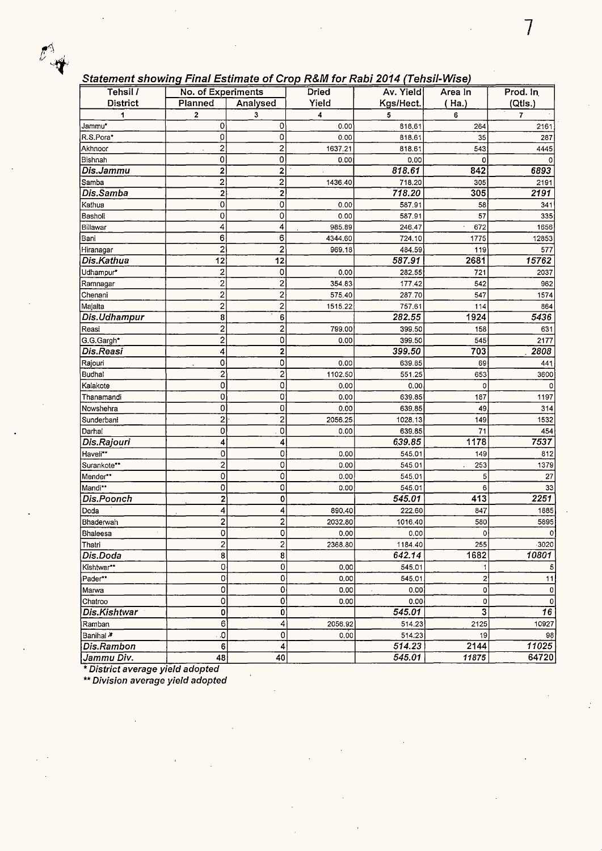### **Statement showing Final Estimate of Crop R&M for Rabi 2014 (Tehsil-Wise)**

| Tehsil /             | No. of Experiments      |                         | Dried   | <del>.</del><br>Av. Yield | Area In          | Prod. In        |
|----------------------|-------------------------|-------------------------|---------|---------------------------|------------------|-----------------|
| <b>District</b>      | Planned                 | Analysed                | Yield   | Kgs/Hect.                 | (Ha.)            | (Qtis.)         |
| 1                    | 2                       | 3                       | 4       | 5                         | 6                | $\overline{t}$  |
| Jammu*               | 0                       | 0                       | 0.00    | 818.61                    | 264              | 2161            |
| R.S.Pora*            | 0                       | 0                       | 0.00    | 818.61                    | 35               | 287             |
| Akhnoor              | $\overline{2}$          | 2                       | 1637.21 | 818.61                    | 543              | 4445            |
| Bishnah              | 0                       | 0                       | 0.00    | 0.00                      | 0                |                 |
| Dis.Jammu            | 2                       | 2                       |         | 818.61                    | 842              | 6893            |
| l Samba              | $\overline{\mathbf{c}}$ | $\overline{c}$          | 1436.40 | 718.20                    | 305              | 2191            |
| Dis.Samba            | 2                       | $\overline{c}$          |         | 718.20                    | 305              | 2191            |
| Kathua               | $\mathbf 0$             | 0                       | 0.00    | 587.91                    | 58               | 341             |
| Basholi              | $\circ$                 | 0                       | 0.00    | 587.91                    | 57               | 335             |
| Billawar             | 4                       | 4                       | 985.89  | 246.47                    | 672              | 1656            |
| Bani                 | 6                       | 6                       | 4344.60 | 724.10                    | 1775             | 12853           |
| Hiranagar            | $\overline{c}$          | $\overline{c}$          | 969.18  | 484.59                    | 119              | 577             |
| Dis.Kathua           | 12                      | 12                      |         | 587.91                    | 2681             | 15762           |
| Udhampur*            | $\overline{\mathbf{c}}$ | 0                       | 0.00    | 282.55                    | 721              | 2037            |
| Ramnagar             | $\overline{\mathbf{c}}$ | 2                       | 354.83  | 177.42                    | 542              | 962             |
| Chenani              | $\overline{\mathbf{c}}$ | $\overline{\mathbf{c}}$ | 575.40  | 287.70                    | 547              | 1574            |
| Majalta              | 2                       | $\overline{\mathbf{c}}$ | 1515.22 | 757.61                    | 114              | 864             |
| Dis.Udhampur         | 8                       | 6                       |         | 282.55                    | 1924             | 5436            |
| Reasi                | $\overline{\mathbf{c}}$ | $\overline{c}$          | 799.00  | 399.50                    | 158              | 631             |
| G.G.Gargh*           | $\overline{\mathbf{c}}$ | 0                       | 0.00    | 399.50                    | 545              | 2177            |
| Dis.Reasi            | 4                       | $\mathbf{2}$            |         | 399.50                    | 703              | 2808            |
| Rajouri              | 0                       | 0                       | 0.00    | 639.85                    | 69               | 441             |
| Budhal               | $\overline{\mathbf{c}}$ | 2                       | 1102.50 | 551.25                    | 653              | 3600            |
| Kalakote             | 0                       | 0                       | 0.00    | 0.00                      | 0                |                 |
| Thanamandi           | 0                       | 0                       | 0.00    | 639.85                    | 187              | 1197            |
| Nowshehra            | 0                       | 0                       | 0.00    | 639.85                    | 49               | 314             |
| Sunderbani           | $\overline{2}$          | $\overline{c}$          | 2056.25 | 1028.13                   | 149              | 1532            |
| Darhal               | 0                       | 0                       | 0.00    | 639.85                    | 71               | 454             |
| Dis.Rajouri          | 4                       | 4                       |         | 639.85                    | 1178             | 7537            |
| Haveli**             | 0                       | 0                       | 0.00    | 545.01                    | 149              | 812             |
| Surankote**          | $\overline{\mathbf{c}}$ | 0                       | 0.00    | 545.01                    | 253              | 1379            |
| Mender**             | 0                       | 0                       | 0.00    | 545.01                    | 5                | 27              |
| Mandi**              | $\overline{0}$          | 0                       | 0.00    | 545.01                    | 6                | 33              |
| Dis.Poonch           | $\overline{\mathbf{c}}$ | 0                       |         | 545.01                    | 413              | 2251            |
| Doda                 | 4                       | 4                       | 890.40  | 222.60                    | 847              | 1885            |
| Bhaderwah            | $\overline{\mathbf{c}}$ | 2                       | 2032.80 | 1016.40                   | 580              | 5895            |
| Bhaleesa             | 0                       | 이                       | 0.00    | 0.00                      | ٥l               | ΩI              |
| Thatri               | $\overline{c}$          | $\overline{\mathbf{c}}$ | 2368.80 | 1184.40                   | 255              | 3020            |
| Dis.Doda             | 8                       | 8                       |         | 642.14                    | 1682             | 10801           |
| Kishtwar**           | 0                       | $\mathbf 0$             | 0.00    | 545.01                    | 1                | 5               |
| Pader**              | $\mathbf 0$             | 0                       | 0.00    | 545.01                    | $\boldsymbol{2}$ | 11              |
| Marwa                | 0                       | 0                       | 0.00    | 0.00                      | $\mathbf 0$      | 0               |
| Chatroo              | $\mathbf 0$             | 0                       | 0.00    | 0.00                      | 0                | 0               |
| Dis.Kishtwar         | 0                       | 0                       |         | 545.01                    | 3                | $\overline{16}$ |
| Ramban               | 6                       | 4                       | 2056.92 | 514.23                    | 2125             | 10927           |
| Banihal <sup>≱</sup> | .0                      | 0                       | 0.00    | 514.23                    | 19               | 98              |
| Dis.Rambon           | 6                       | 4                       |         | 514.23                    | 2144             | 11025           |
| Jammu Div.           | 48                      | 40                      |         | 545.01                    | 11875            | 64720           |

\* **District average yield adopted** 

\*\* **Division average yield adopted**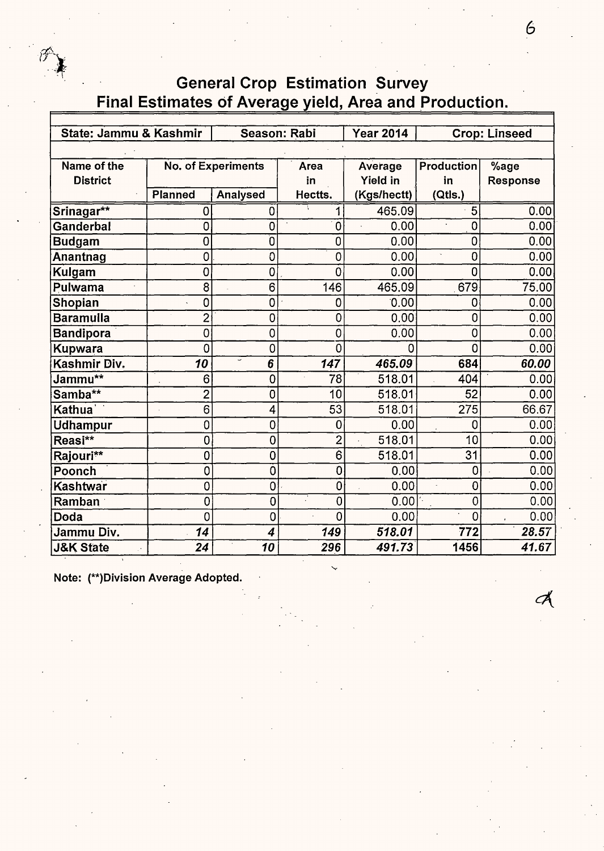

| State: Jammu & Kashmir<br>Season: Rabi |                |                               |                     |                  |                   |                      |  |  |  |  |
|----------------------------------------|----------------|-------------------------------|---------------------|------------------|-------------------|----------------------|--|--|--|--|
|                                        |                |                               |                     | <b>Year 2014</b> |                   | <b>Crop: Linseed</b> |  |  |  |  |
|                                        |                |                               |                     |                  |                   |                      |  |  |  |  |
| Name of the                            |                | No. of Experiments            | Area                | Average          | <b>Production</b> | %age                 |  |  |  |  |
| <b>District</b>                        |                |                               | in                  | <b>Yield in</b>  | in                | <b>Response</b>      |  |  |  |  |
|                                        | <b>Planned</b> | <b>Analysed</b>               | Hectts.             | (Kgs/hectt)      | (Qtls.)           |                      |  |  |  |  |
| Srinagar**                             | 0              | 0                             | 1                   | 465.09           | 5                 | 0.00                 |  |  |  |  |
| Ganderbal                              | 0              | 0                             | 0                   | 0.00             | 0                 | 0.00                 |  |  |  |  |
| <b>Budgam</b>                          | 0              | Ö                             | 0                   | 0.00             | 0                 | 0.00                 |  |  |  |  |
| Anantnag                               | 0              | O                             | 0                   | 0.00             | 0<br>ä,           | 0.00                 |  |  |  |  |
| <b>Kulgam</b>                          | 0              | 0                             | 0                   | 0.00             | 0                 | 0.00                 |  |  |  |  |
| Pulwama                                | 8              | 6                             | 146                 | 465.09           | 679               | 75.00                |  |  |  |  |
| Shopian                                | 0              | 0                             | 0                   | 0.00             | 0                 | 0.00                 |  |  |  |  |
| <b>Baramulla</b>                       | $\overline{c}$ | 0                             | $\mathbf 0$         | 0.00             | $\mathbf 0$       | 0.00                 |  |  |  |  |
| <b>Bandipora</b>                       | 0              | 0                             | 0                   | 0.00             | 0                 | 0.00                 |  |  |  |  |
| Kupwara                                | 0              | 0                             | 0                   | n                | 0                 | 0.00                 |  |  |  |  |
| Kashmir Div.                           | 10             | $\overline{\phantom{0}}$<br>6 | 147                 | 465.09           | 684               | 60.00                |  |  |  |  |
| Jammu**                                | 6              | 0                             | 78                  | 518.01           | 404               | 0.00                 |  |  |  |  |
| Samba**                                | $\overline{2}$ | 0                             | 10                  | 518.01           | 52                | 0.00                 |  |  |  |  |
| Kathua \                               | 6              | 4                             | 53                  | 518.01           | 275               | 66.67                |  |  |  |  |
| Udhampur                               | 0              | $\overline{0}$                | 0                   | 0.00             | 0                 | 0.00                 |  |  |  |  |
| Reasi**                                | $\overline{0}$ | $\mathbf 0$                   | $\overline{2}$      | 518.01           | 10                | 0.00                 |  |  |  |  |
| Rajouri**                              | 0              | 0                             | $\ddot{\mathbf{6}}$ | 518.01           | 31                | 0.00                 |  |  |  |  |
| Poonch                                 | 0              | $\ddot{\mathbf{0}}$           | $\overline{0}$      | 0.00             | 0                 | 0.00                 |  |  |  |  |
| Kashtwar                               | 0              | 0                             | $\mathbf 0$         | 0.00             | 0                 | 0.00                 |  |  |  |  |
| Ramban                                 | 0              | 0                             | $\overline{0}$      | 0.00             | 0                 | 0.00                 |  |  |  |  |
| Doda                                   | 0              | $\overline{0}$                | 0                   | 0.00             | $\overline{0}$    | 0.00                 |  |  |  |  |
| Jammu Div.                             | 14             | 4                             | 149                 | 518.01           | 772               | 28.57                |  |  |  |  |
| <b>J&amp;K State</b>                   | 24             | 10                            | 296                 | 491.73           | 1456              | 41.67                |  |  |  |  |

**Note: (\*\*)Division Average Adopted.** 

 $\mathcal{A}$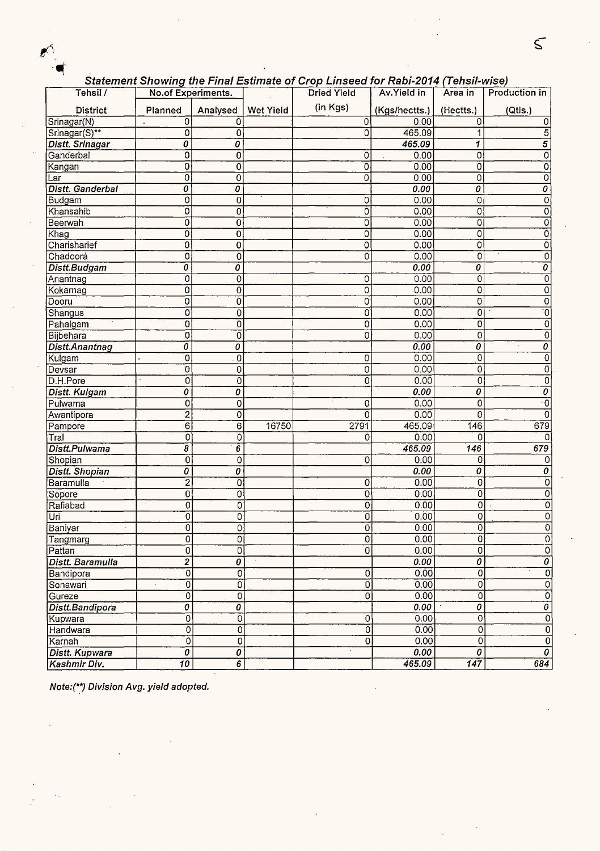### Statement Showinq the Final Estimate of Crop Linseed for Rabi-2014 (Tehsil-wise)

|                        |                                  |                         |                  | Statement Showing the Final Estimate of Crop Emseed for Rabi-2014 (Tensil-Wise) |               |                                        |                                  |
|------------------------|----------------------------------|-------------------------|------------------|---------------------------------------------------------------------------------|---------------|----------------------------------------|----------------------------------|
| Tehsil /               | No.of Experiments.               |                         |                  | Dried Yield                                                                     | Av. Yield in  | Area in                                | Production in                    |
| <b>District</b>        | Planned                          | Analysed                | <b>Wet Yield</b> | (in Kgs)                                                                        | (Kgs/hectts.) | (Hectts.)                              | (Qtls.)                          |
| Srinagar(N)            | 0                                | 0                       |                  | $\overline{0}$                                                                  | 0.00          | 0                                      | 0                                |
| Srinagar(S)**          | 0                                | 0                       |                  | 0                                                                               | 465.09        | 1                                      | $\overline{5}$                   |
| <b>Distt. Srinagar</b> | 0                                | 0                       |                  |                                                                                 | 465.09        | 1                                      | $\overline{5}$                   |
| Ganderbal              | 0                                | 0                       |                  | 0                                                                               | 0.00          | 0                                      | 0                                |
| Kangan                 | 0                                | $\overline{0}$          |                  | 0                                                                               | 0.00          | 0                                      | $\overline{0}$                   |
| Lar                    | 0                                | 0                       |                  | 0                                                                               | 0.00          | 0                                      | 0                                |
| Distt. Ganderbal       | $\overline{o}$                   | 0                       |                  |                                                                                 | 0.00          | 0                                      | 0                                |
| Budgam                 | 0                                | 0                       |                  | 0                                                                               | 0.00          | 0                                      | 0                                |
| Khansahib              | $\overline{0}$                   | 0                       |                  | 0                                                                               | 0.00          | 0                                      | 0                                |
| Beerwah                | 0                                | 0                       |                  | 0                                                                               | 0.00          | $\overline{0}$                         | 0                                |
| Khag                   | 0                                | 0                       |                  | 0                                                                               | 0.00          | 0                                      | 0                                |
| Charisharief           | 0                                | $\overline{0}$          |                  | 0                                                                               | 0.00          | $\overline{0}$                         | 0                                |
| Chadoora               | 0                                | $\overline{0}$          |                  | 0                                                                               | 0.00          | 0                                      | 0                                |
| Distt.Budgam           | $\overline{o}$                   | Ô                       |                  |                                                                                 | 0.00          | 0                                      | $\overline{o}$                   |
| Anantnag               | 0                                | 0                       |                  | 0                                                                               | 0.00          | 0                                      | 0                                |
| Kokarnag               | ō                                | $\overline{0}$          |                  | 0                                                                               | 0.00          | $\overline{0}$                         | 0                                |
| Dooru                  | ō                                | $\overline{0}$          |                  | 0                                                                               | 0.00          | 0                                      | 0                                |
| Shangus                | o                                | 0                       |                  | 0                                                                               | 0.00          | 0                                      | $\overline{0}$                   |
| Pahalgam               | 0                                | 0                       |                  | 0                                                                               | 0.00          | 0                                      | $\mathbf 0$                      |
| Bijbehara              | 0                                | $\overline{0}$          |                  | 0                                                                               | 0.00          | $\overline{0}$                         | $\overline{0}$                   |
| Distt.Anantnag         | ō                                | $\overline{o}$          |                  |                                                                                 | 0.00          | $\overline{o}$                         | 0                                |
| Kulgam                 | 0                                | $\overline{0}$          |                  | 0                                                                               | 0.00          | $\overline{0}$                         | 0                                |
| Devsar                 | $\overline{0}$                   | 0                       |                  | $\overline{0}$                                                                  | 0.00          | 0                                      | 0                                |
| D.H.Pore               | Ö                                | 0                       |                  | 0                                                                               | 0.00          | 0                                      | $\overline{0}$                   |
| <b>Distt. Kulgam</b>   | Ō                                | 0                       |                  |                                                                                 | 0.00          | 0                                      | $\overline{\boldsymbol{\theta}}$ |
| Pulwama                | 0                                | 0                       |                  | 0                                                                               | 0.00          | 0                                      | $\overline{\cdot}$               |
| Awantipora             | 2                                | 0                       |                  | 0                                                                               | 0.00          | 0                                      | $\overline{0}$                   |
| Pampore                | $\overline{6}$                   | $\overline{6}$          | 16750            | 2791                                                                            | 465.09        | 146                                    | 679                              |
| Tral                   | $\overline{0}$                   | $\overline{0}$          |                  | 0                                                                               | 0.00          | $\Omega$                               | $\Omega$                         |
| Distt.Pulwama          | $\overline{s}$                   | 6                       |                  |                                                                                 | 465.09        | $\overline{146}$                       | 679                              |
| Shopian                | $\overline{\text{o}}$            | 0                       |                  | 0                                                                               | 0.00          | 0                                      |                                  |
| <b>Distt. Shopian</b>  | 0                                | Ö                       |                  |                                                                                 | 0.00          | 0                                      | Ò                                |
| Baramulla              | $\overline{2}$                   | $\overline{\mathbf{0}}$ |                  | 0                                                                               | 0.00          | $\overline{0}$                         | $\overline{0}$                   |
| Sopore                 | 0                                | 0                       |                  | 0                                                                               | 0.00          | Ö                                      | 0                                |
| Rafiabad               | 0                                | $\overline{0}$          |                  | 0                                                                               | 0.00          | 0                                      | 0                                |
| Uri                    | 0                                | $\mathbf 0$             |                  | 0                                                                               | 0.00          | 0                                      | 0                                |
| Baniyar                | $\overline{0}$                   | $\overline{0}$          |                  | 0                                                                               | 0.00          | $\overline{0}$                         | 0                                |
| Tangmarg               | 0                                | 0                       |                  | 0                                                                               | 0.00          | $\overline{0}$                         | $\boldsymbol{0}$                 |
| Pattan                 | $\overline{0}$                   | $\overline{0}$          |                  | 0                                                                               | 0.00          | $\overline{0}$                         | $\overline{0}$                   |
| Distt. Baramulla       | $\overline{2}$                   | $\overline{o}$          |                  |                                                                                 | 0.00          | $\overline{\boldsymbol{\theta}}$       | $\overline{o}$                   |
| Bandipora              | $\overline{\mathfrak{o}}$        | 0                       |                  | $\overline{0}$                                                                  | 0.00          | $\overline{0}$                         | $\overline{0}$                   |
| Sonawari               | $\overline{0}$<br>×.             | Ő                       |                  | $\overline{0}$                                                                  | 0.00          | $\overline{0}$                         | $\overline{\mathfrak{o}}$        |
| Gureze                 | $\overline{0}$                   | 0                       |                  | $\overline{0}$                                                                  | 0.00          | 0                                      | $\overline{0}$                   |
| Distt.Bandipora        | $\overline{\boldsymbol{\theta}}$ | 0                       |                  |                                                                                 | 0.00          | $\overline{\boldsymbol{\mathfrak{o}}}$ | $\overline{\mathfrak{o}}$        |
| Kupwara                | $\overline{0}$                   | $\overline{0}$          |                  | 0                                                                               | 0.00          | O                                      | $\overline{0}$                   |
| Handwara               | $\overline{0}$                   | $\overline{0}$          |                  | $\overline{0}$                                                                  | 0.00          | $\overline{0}$                         | $\overline{0}$                   |
| Karnah                 | $\overline{0}$                   | Ō                       |                  | 0                                                                               | 0.00          | $\overline{0}$                         | $\overline{0}$                   |
| <b>Distt. Kupwara</b>  | $\overline{\boldsymbol{\theta}}$ | 0                       |                  |                                                                                 | 0.00          | $\overline{\boldsymbol{\theta}}$       | $\overline{\mathfrak{o}}$        |
| Kashmir Div.           | $\overline{10}$                  | $\overline{6}$          |                  |                                                                                 | 465.09        | $\overline{147}$                       | 684                              |

**Note:(\*\*) Division Avg. yield adopted.** 

 $\boldsymbol{e}^{\prime}$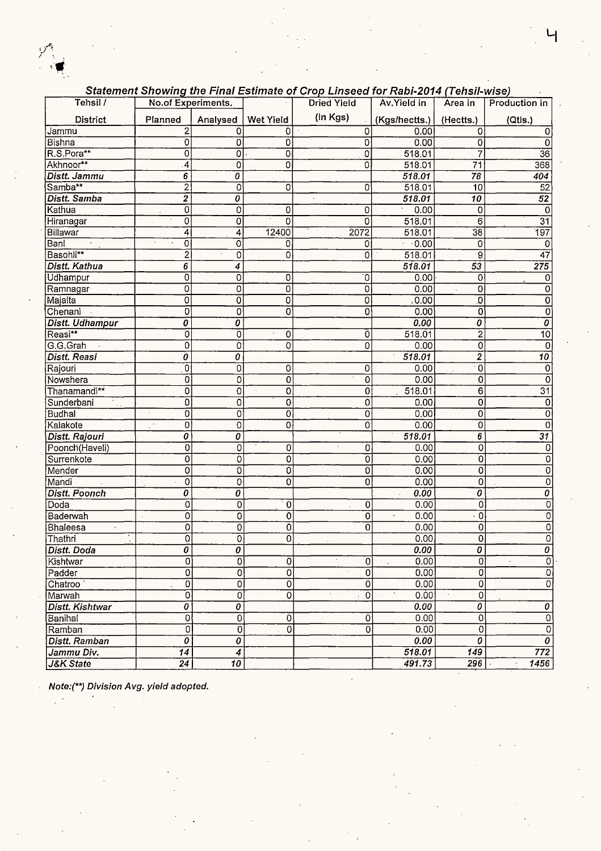

| Tehsil /               | No.of Experiments.                     |                           |                         | <b>Dried Yield</b> | Av. Yield in                  | Area in                                | Production in             |
|------------------------|----------------------------------------|---------------------------|-------------------------|--------------------|-------------------------------|----------------------------------------|---------------------------|
| <b>District</b>        | Planned                                | Analysed                  | <b>Wet Yield</b>        | (in Kgs)           | (Kgs/hectts.)                 | (Hectts.)                              | (Qtls.)                   |
| <b>Jammu</b>           | 2                                      | 0                         | 0                       | 0                  | 0.00                          | $\Omega$                               | 0                         |
| Bishna                 | 0                                      | 0                         | 0                       | 0                  | 0.00                          | $\mathbf 0$                            | 0                         |
| R.S.Pora**             | 0                                      | $\overline{0}$            | 0                       | 0                  | 518.01                        |                                        | $\overline{36}$           |
| Akhnoor**              | 4                                      | 0                         | 0                       | 0                  | 518.01                        | $\overline{71}$                        | 368                       |
| Distt. Jammu           | 6                                      | $\overline{o}$            |                         |                    | 518.01                        | $\overline{78}$                        | 404                       |
| Samba**                | $\overline{2}$                         | $\overline{0}$            | 0                       | 0                  | 518.01                        | 10                                     | 52                        |
| Distt. Samba           | 2                                      | Ō                         |                         |                    | 518.01                        | $\overline{10}$                        | $\overline{52}$           |
| Kathua                 | $\overline{0}$                         | 0                         | 0                       | 0                  | 0.00<br>$\tilde{\phantom{a}}$ | 0                                      | $\overline{0}$            |
| Hiranagar              | 0                                      | $\overline{0}$            | 0                       | 0                  | 518.01                        | 6                                      | $\overline{31}$           |
| Billawar               | 4                                      | $\overline{4}$            | 12400                   | 2072               | 518.01                        | $\overline{38}$                        | $\overline{197}$          |
| Bani                   | $\overline{0}$                         | 0                         | 0                       | 0                  | $\overline{0.00}$             | 0                                      | 0                         |
| Basohli**              | $\overline{2}$                         | $\overline{0}$            | 0                       | 0                  | 518.01                        | 9                                      | $\overline{47}$           |
| Distt. Kathua          | $\overline{6}$                         | $\overline{\bf{4}}$       |                         |                    | 518.01                        | $\overline{53}$                        | 275                       |
| Udhampur               | $\mathbf 0$                            | 0                         | 0                       | 0                  | 0.00                          | 0                                      | 0                         |
| ∣Ramnagar              | 0                                      | $\overline{0}$            | 0                       | 0                  | 0.00                          | 0                                      | 0                         |
| Majalta                | $\overline{\mathfrak{o}}$              | $\overline{0}$            | 0                       | O                  | .0.00                         | $\overline{\mathfrak{0}}$              | $\overline{0}$            |
| Chenani                | 0                                      | 0                         | 0                       | 0                  | 0.00                          | $\overline{0}$                         | 0                         |
| <b>Distt. Udhampur</b> | 0                                      | 0                         |                         |                    | 0.00                          | 0                                      | 0                         |
| Reasi**                | 0                                      | 0                         | 0                       | 0                  | 518.01                        | $\overline{2}$                         | 10                        |
| G.G.Grah               | $\overline{0}$                         | $\overline{0}$            | 0                       | 0                  | 0.00                          | 0                                      | $\overline{0}$            |
| <b>Distt. Reasi</b>    | 0                                      | 0                         |                         |                    | 518.01                        | $\overline{2}$                         | $\overline{10}$           |
| Rajouri                | Ō                                      | $\overline{0}$            | 0                       | 0                  | 0.00                          | $\overline{\cdot \,}$                  | 0                         |
| Nowshera               | Ö                                      | $\overline{0}$            | 0                       | 0                  | 0.00                          | 0                                      | 0                         |
| Thanamandi**           | ō                                      | $\overline{0}$            | $\overline{\mathbf{o}}$ | 0                  | 518.01                        | $\overline{6}$                         | $\overline{31}$           |
| Sunderbani             | $\overline{\text{o}}$                  | $\overline{\mathfrak{o}}$ | 0                       | 0                  | 0.00                          | 0                                      | 0                         |
| <b>Budhal</b>          | $\overline{0}$<br>$\ddot{\phantom{0}}$ | $\overline{0}$            | 0                       | 0                  | 0.00                          | 0                                      | 0                         |
| Kalakote               | 0<br>$\mathbb{R}^2$                    | 0                         | 0                       | 0                  | 0.00                          | 0                                      | 0                         |
| Distt. Rajouri         | $\overline{o}$                         | $\overline{\mathfrak{o}}$ |                         |                    | 518.01                        | $\overline{6}$                         | $\overline{31}$           |
| Poonch(Haveli)         | $\overline{0}$                         | $\overline{0}$            | 0                       | 0                  | 0.00                          | $\overline{0}$                         | 0                         |
| Surrenkote             | $\overline{0}$                         | $\overline{0}$            | 0                       | 0                  | 0.00                          | 0                                      | 0                         |
| Mender                 | $\overline{\mathfrak{o}}$              | $\overline{0}$            | 0                       | 0                  | 0.00                          | $\overline{0}$                         | 0                         |
| Mandi                  | ō                                      | $\overline{0}$            | 0                       | 0                  | 0.00                          | $\overline{0}$                         | 0                         |
| <b>Distt. Poonch</b>   | 0                                      | $\overline{o}$            |                         |                    | 0.00                          | 0                                      | 0                         |
| Doda                   | 0                                      | $\mathbf 0$               | 0                       | 0                  | 0.00                          | 0                                      | 0                         |
| Baderwah               | 0                                      | 0                         | 0                       | 0                  | 0.00                          | $\cdot$ 0                              | 0                         |
| Bhaleesa               | 0                                      | 0                         | 0                       | 0                  | 0.00                          | 0                                      | 0                         |
| Thathri                | ō                                      | $\overline{0}$            | 0                       |                    | 0.00                          | 0                                      | 0                         |
| Distt. Doda            | 0                                      | $\overline{o}$            |                         |                    | 0.00                          | $\overline{o}$                         | O                         |
| Kishtwar               | $\overline{0}$                         | O                         | 0                       | 0                  | 0.00                          | $\overline{0}$                         | $\overline{0}$            |
| Padder                 | $\overline{0}$                         | 0                         | $\overline{0}$          | 0<br>$\bar{z}$     | 0.00                          | $\overline{0}$                         | $\overline{0}$            |
| Chatroo                | $\overline{0}$                         | 0                         | $\overline{0}$          | 0                  | 0.00                          | $\overline{0}$                         | $\overline{0}$            |
| Marwah                 | $\overline{0}$                         | 0                         | $\Omega$                | 0                  | 0.00                          | 0                                      |                           |
| Distt. Kishtwar        | 0                                      | 0                         |                         |                    | 0.00                          | 0                                      | 0                         |
| Banihal                | $\overline{0}$                         | $\overline{0}$            | 0                       | 0                  | 0.00                          | 0                                      | $\overline{0}$            |
| Ramban                 | $\overline{0}$                         | $\overline{0}$            | $\overline{0}$          | 0                  | 0.00                          | $\overline{0}$                         | $\overline{0}$            |
| <b>Distt. Ramban</b>   | $\overline{\boldsymbol{\mathfrak{o}}}$ | 0                         |                         |                    | 0.00                          | $\overline{\boldsymbol{\mathfrak{o}}}$ | $\overline{\mathfrak{o}}$ |
| Jammu Div.             | $\overline{14}$                        | 4                         |                         |                    | 518.01                        | 149                                    | 772                       |
| J&K State              | $\overline{24}$                        | $\overline{10}$           |                         |                    | 491.73                        | 296                                    | 1456<br>$\cdot$           |
|                        |                                        |                           |                         |                    |                               |                                        |                           |

 $\bar{\mathcal{A}}$ 

#### **Statement Showing the Final Estimate of Crop Linseed for Rabi-2014 (Tehsil-wise)**

**Note:(\*\*) Division Avg. yield adopted.** 

 $\frac{1}{2}$  .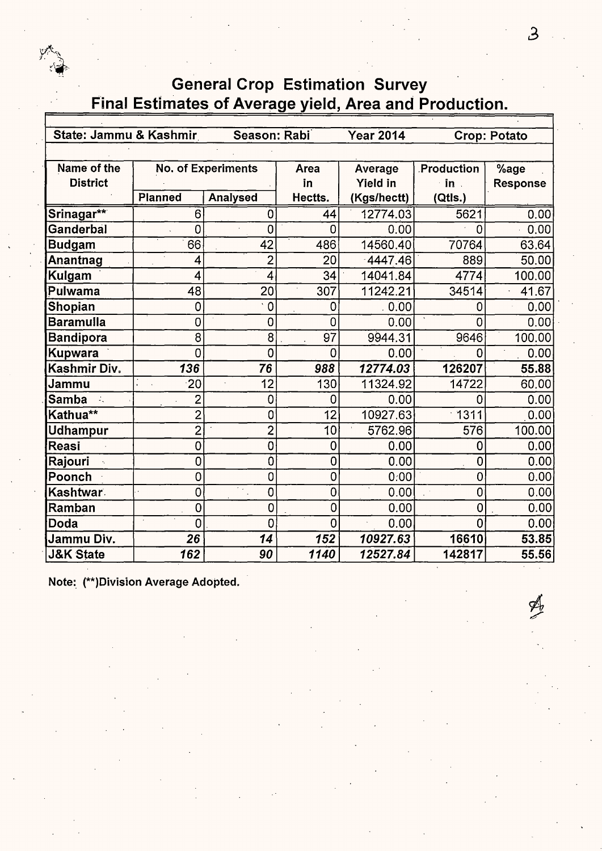

| State: Jammu & Kashmir |                | Season: Rabi              |                | <b>Year 2014</b> |             | <b>Crop: Potato</b> |  |  |  |  |
|------------------------|----------------|---------------------------|----------------|------------------|-------------|---------------------|--|--|--|--|
|                        |                |                           |                |                  |             |                     |  |  |  |  |
| Name of the            |                | <b>No. of Experiments</b> | Area           | Average          | Production  | %age                |  |  |  |  |
| <b>District</b>        |                |                           | in             | <b>Yield in</b>  | in .        | Response            |  |  |  |  |
|                        | <b>Planned</b> | <b>Analysed</b>           | Hectts.        | (Kgs/hectt)      | (Qtls.)     |                     |  |  |  |  |
| Srinagar**             | 6              | 0                         | 44             | 12774.03         | 5621        | 0.00                |  |  |  |  |
| Ganderbal              | 0              | 0                         | 0              | 0.00             | 0           | 0.00                |  |  |  |  |
| <b>Budgam</b>          | 66             | 42                        | 486            | 14560.40         | 70764       | 63.64               |  |  |  |  |
| Anantnag               | 4              | $\overline{2}$            | 20             | 4447.46          | 889         | 50.00               |  |  |  |  |
| Kulgam                 | 4              | 4                         | 34             | 14041.84         | 4774        | 100.00              |  |  |  |  |
| Pulwama                | 48             | 20                        | 307            | 11242.21         | 34514       | 41.67               |  |  |  |  |
| Shopian                | 0              | $\cdot$ 0                 | 0              | .0.00            | 0           | 0.00                |  |  |  |  |
| <b>Baramulla</b>       | 0              | $\overline{0}$            | $\overline{0}$ | 0.00             | 0           | 0.00                |  |  |  |  |
| <b>Bandipora</b>       | 8              | 8                         | 97             | 9944.31          | 9646        | 100.00              |  |  |  |  |
| <b>Kupwara</b>         | 0              | 0                         | 0              | 0.00             | 0           | 0.00                |  |  |  |  |
| Kashmir Div.           | 136            | 76                        | 988            | 12774.03         | 126207      | 55.88               |  |  |  |  |
| Jammu                  | 20             | 12                        | 130            | 11324.92         | 14722       | 60.00               |  |  |  |  |
| <b>Samba</b>           | $\overline{2}$ | 0                         | 0              | 0.00             | 0           | 0.00                |  |  |  |  |
| Kathua**               | $\overline{2}$ | 0                         | 12             | 10927.63         | $-1311$     | 0.00                |  |  |  |  |
| Udhampur               | $\overline{2}$ | $\overline{2}$            | 10             | 5762.96          | 576         | 100.00              |  |  |  |  |
| Reasi                  | 0              | $\overline{0}$            | 0              | 0.00             | 0           | 0.00                |  |  |  |  |
| <b>Rajouri</b>         | $\overline{0}$ | Ò                         | $\overline{0}$ | 0.00             | $\mathbf 0$ | 0.00                |  |  |  |  |
| Poonch                 | 0              | 0                         | $\overline{0}$ | 0:00             | 0           | 0.00                |  |  |  |  |
| Kashtwar               | 0              | × .<br>$\overline{0}$     | 0              | 0.00             | 0           | 0.00                |  |  |  |  |
| Ramban                 | 0              | 0                         | $\overline{0}$ | 0.00             | 0           | 0.00                |  |  |  |  |
| ∣Doda                  | $\cdot$<br>0   | 0                         | 0              | 0.00             | 0           | 0.00                |  |  |  |  |
| Jammu Div.             | 26             | 14                        | 152            | 10927.63         | 16610       | 53.85               |  |  |  |  |
| <b>J&amp;K State</b>   | 162            | 90                        | 1140           | 12527.84         | 142817      | 55.56               |  |  |  |  |

**Note:. (\*\*)Division Average Adopted.**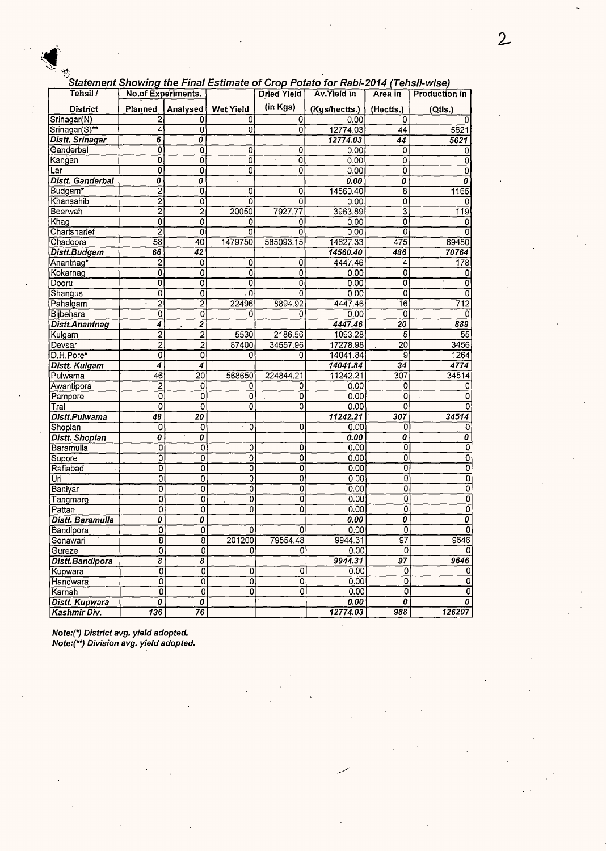|                        |                                      |                                  |                |                    | Statement Showing the Final Estimate of Crop Potato for Rabi-2014 (Tehsil-wise) |                       |                           |
|------------------------|--------------------------------------|----------------------------------|----------------|--------------------|---------------------------------------------------------------------------------|-----------------------|---------------------------|
| Tehsil /               | <b>No.of Experiments.</b>            |                                  |                | <b>Dried Yield</b> | Av.Yield in                                                                     | Area in               | Production in             |
| <b>District</b>        | Planned                              | Analysed                         | Wet Yield      | (in Kgs)           | (Kgs/hectts.)                                                                   | (Hectts.)             | (Qtls.)                   |
| Srinagar(N)            | 2                                    | 0                                | 0              | 0                  | 0.00                                                                            | Ω                     |                           |
| Srinagar(S)**          | 4                                    | O                                | 0              | $\overline{0}$     | 12774.03                                                                        | 44                    | 5621                      |
| <b>Distt. Srinagar</b> | 6                                    | 0                                |                |                    | 12774.03                                                                        | 44                    | 5621                      |
| Ganderbal              | 0                                    | 0                                | 0              | 0                  | 0.00                                                                            | 0                     | 0                         |
| Kangan                 | 0                                    | $\overline{0}$                   | $\overline{0}$ | ¥,<br>0            | 0.00                                                                            | $\overline{0}$        | 0                         |
| Lar                    | 0                                    | 0                                | 0              | 0                  | 0.00                                                                            | 0                     | 0                         |
| Distt. Ganderbal       | 0                                    | $\overline{\boldsymbol{\theta}}$ |                |                    | 0.00                                                                            | $\boldsymbol{\theta}$ | 0                         |
| Budgam*                | $\overline{\mathbf{c}}$              | 0                                | 0              | 0                  | 14560.40                                                                        | 8                     | 1165                      |
| Khansahib              | $\overline{2}$                       | 0                                | ō              | ō                  | 0.00                                                                            | 0                     | 0                         |
| Beerwah                | $\overline{\mathbf{2}}$              | 2                                | 20050          | 7927.77            | 3963.89                                                                         | 3                     | 119                       |
| Khag                   | ō                                    | 0                                | 0              | 0                  | 0.00                                                                            | ö                     | 0                         |
| Charisharief           | $\overline{2}$                       | 0                                | 0              | 0                  | 0.00                                                                            | O                     | 0                         |
| Chadoora               | 58                                   | 40                               | 1479750        | 585093.15          | 14627.33                                                                        | 475                   | 69480                     |
| Distt.Budgam           | 66                                   | 42                               |                |                    | 14560.40                                                                        | 486                   | 70764                     |
| Anantnag*              | 2                                    | 0                                | 0              | 0                  | 4447.46                                                                         | 4                     | 178                       |
| Kokarnag               | 0                                    | 0                                | $\overline{0}$ | 0                  | 0.00                                                                            | 0                     | 0                         |
| Dooru                  | $\overline{0}$                       | 0                                | 0              | ō                  | 0.00                                                                            | 0                     | 0                         |
| Shangus                | 0                                    | $\overline{0}$                   | . 0            | 0                  | 0.00                                                                            | ō                     | 0                         |
| Pahalgam               | $\overline{2}$                       | $\overline{2}$                   | 22496          | 8894.92            | 4447.46                                                                         | 16                    | 712                       |
| Bijbehara              | 0                                    | 0                                | 0              | 0                  | 0.00                                                                            | 0                     | 0                         |
| Distt. Anantnag        | 4                                    | $\overline{2}$                   |                |                    | 4447.46                                                                         | 20                    | 889                       |
| Kulgam                 | $\overline{2}$                       | $\overline{2}$                   | 5530           | 2186.56            | 1093.28                                                                         | 5                     | 55                        |
| Devsar                 | $\overline{2}$                       | $\overline{2}$                   | 87400          | 34557.96           | 17278.98                                                                        | 20                    | 3456                      |
| D.H.Pore*              | 0                                    | 0                                | 0              | 0                  | 14041.84                                                                        | 9                     | 1264                      |
| Distt. Kulgam          | 4                                    | 4                                |                |                    | 14041.84                                                                        | 34                    | 4774                      |
| Pulwama                | 46                                   | $\overline{20}$                  | 568650         | 224844.21          | 11242.21                                                                        | 307                   | 34514                     |
| Awantipora             | $\mathbf{2}$                         | 0                                | 0              | 0                  | 0.00                                                                            | 0                     | 0                         |
| Pampore                | $\overline{0}$                       | 0                                | 0              | 0                  | 0.00                                                                            | 0                     | 0                         |
| Tral                   | 0                                    | 0                                | ٥              | ō                  | 0.00                                                                            | 0                     | 01                        |
| Distt.Pulwama          | 48                                   | 20                               |                |                    | 11242.21                                                                        | 307                   | 34514                     |
| Shopian                | 0                                    | 0                                | 0              | 0                  | 0.00                                                                            | 0                     | 0                         |
| <b>Distt. Shopian</b>  | 0                                    | 0                                |                |                    | 0.00                                                                            | 0                     | 0                         |
| Baramulla              | 0                                    | 0                                | 0              | $\overline{0}$     | 0.00                                                                            | 0                     | 0                         |
| Sopore                 | 0                                    | 0                                | 0              | 0                  | 0.00                                                                            | 0                     | $\overline{0}$            |
| Rafiabad               | 0                                    | 0                                | 0              | o                  | 0.00                                                                            | 0                     | $\overline{0}$            |
| Uri)                   | Ò                                    | 0                                | O              | 0                  | 0.00                                                                            | 0                     | $\overline{0}$            |
| Baniyar                | 0                                    | 0                                | 0              | 0                  | 0.00                                                                            | 0                     | $\overline{0}$            |
| Tangmarg               | 0                                    | 0                                | 0              | 0                  | 0.00                                                                            | 0                     | $\overline{0}$            |
| Pattan                 | 0                                    | $\overline{0}$                   | 0              | o                  | 0.00                                                                            | $\overline{0}$        | $\overline{0}$            |
| Distt. Baramulla       | $\overline{\boldsymbol{\theta}}$     | Ó                                |                |                    | 0.00                                                                            | 0                     | $\overline{\mathfrak{o}}$ |
| Bandipora              | 01                                   | 0                                | 0              | 01                 | 0.00                                                                            | o,                    | <sub>0</sub>              |
| Sonawari               | $\overline{\overline{\overline{8}}}$ | $\overline{8}$                   | 201200         | 79554.48           | 9944.31                                                                         | $\overline{97}$       | 9646                      |
| Gureze                 | $\overline{\mathfrak{o}}$            | 0                                | 0              | 0                  | 0.00                                                                            | 0                     | 0                         |
| Distt.Bandipora        | $\overline{s}$                       | 8                                |                |                    | 9944.31                                                                         | $\overline{97}$       | 9646                      |
| Kupwara                | ଗ                                    | $\overline{0}$                   | 0              | 0                  | 0.00                                                                            | 0                     | 0                         |
| Handwara               | Ō                                    | ō                                | $\overline{0}$ | ō                  | 0.00                                                                            | 0                     | 0                         |
| Karnah                 | $\overline{0}$                       | 0                                | $\overline{0}$ | 0                  | 0.00                                                                            | $\overline{0}$        | 0                         |
| Distt. Kupwara         | 0                                    | 0                                |                |                    | 0.00                                                                            | $\overline{o}$        | $\boldsymbol{o}$          |
| Kashmir Div.           | $\overline{136}$                     | 76                               |                |                    | 12774.03                                                                        | 988                   | 126207                    |

 $\ddot{\phantom{1}}$ 

Note:(\*) District avg. yield adopted. Note:(\*\*) Division avg. yield adopted.